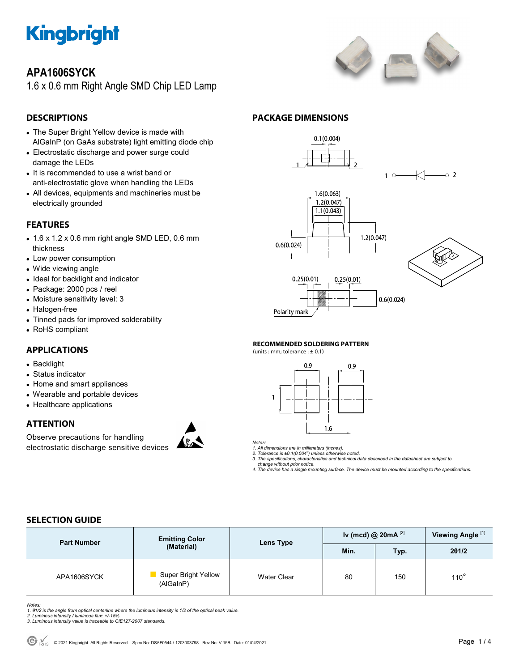

# **APA1606SYCK**

1.6 x 0.6 mm Right Angle SMD Chip LED Lamp



## **DESCRIPTIONS**

- The Super Bright Yellow device is made with AlGaInP (on GaAs substrate) light emitting diode chip
- Electrostatic discharge and power surge could damage the LEDs
- It is recommended to use a wrist band or anti-electrostatic glove when handling the LEDs
- All devices, equipments and machineries must be electrically grounded

### **FEATURES**

- 1.6 x 1.2 x 0.6 mm right angle SMD LED, 0.6 mm thickness
- Low power consumption
- Wide viewing angle
- Ideal for backlight and indicator
- Package: 2000 pcs / reel
- Moisture sensitivity level: 3
- Halogen-free
- Tinned pads for improved solderability
- RoHS compliant

#### **APPLICATIONS**

- Backlight
- Status indicator
- Home and smart appliances
- Wearable and portable devices
- Healthcare applications

#### **ATTENTION**

Observe precautions for handling electrostatic discharge sensitive devices



### **PACKAGE DIMENSIONS**



#### **RECOMMENDED SOLDERING PATTERN**

(units : mm; tolerance :  $\pm$  0.1)



*Notes:* 

*1. All dimensions are in millimeters (inches).* 

*2. Tolerance is ±0.1(0.004") unless otherwise noted. 3. The specifications, characteristics and technical data described in the datasheet are subject to* 

 *change without prior notice.* 

*4. The device has a single mounting surface. The device must be mounted according to the specifications.* 

## **SELECTION GUIDE**

| <b>Part Number</b> | <b>Emitting Color</b><br>(Material) | Lens Type          | Iv (mcd) @ $20mA^{[2]}$ |      | Viewing Angle <sup>[1]</sup> |
|--------------------|-------------------------------------|--------------------|-------------------------|------|------------------------------|
|                    |                                     |                    | Min.                    | Typ. | 201/2                        |
| APA1606SYCK        | Super Bright Yellow<br>(AlGaInP)    | <b>Water Clear</b> | 80                      | 150  | $110^\circ$                  |

Notes:<br>1. 81/2 is the angle from optical centerline where the luminous intensity is 1/2 of the optical peak value.<br>2. Luminous intensity / luminous flux: +/-15%.<br>3. Luminous intensity value is traceable to CIE127-2007 stan

- 
-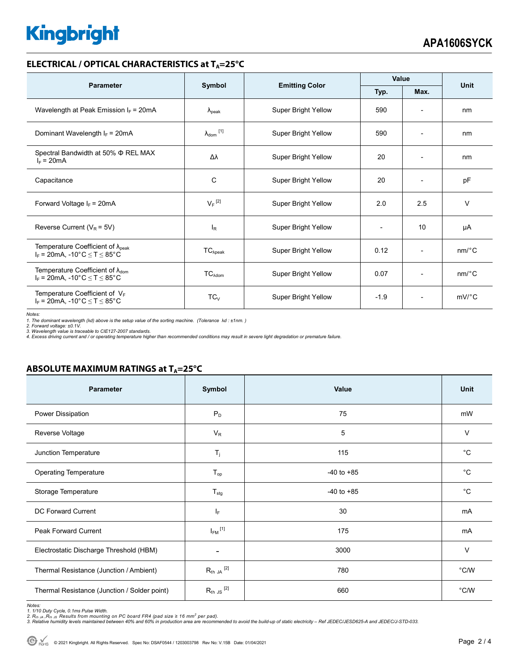# **Kingbright**

#### **ELECTRICAL / OPTICAL CHARACTERISTICS at T<sub>A</sub>=25°C**

| <b>Parameter</b>                                                                                                                |                            |                            | Value        |                          | <b>Unit</b>           |
|---------------------------------------------------------------------------------------------------------------------------------|----------------------------|----------------------------|--------------|--------------------------|-----------------------|
|                                                                                                                                 | Symbol                     | <b>Emitting Color</b>      | Typ.<br>Max. |                          |                       |
| Wavelength at Peak Emission $I_F$ = 20mA                                                                                        | $\lambda_{\rm peak}$       | Super Bright Yellow        | 590          |                          | nm                    |
| Dominant Wavelength $I_F = 20mA$                                                                                                | $\lambda_{\text{dom}}$ [1] | Super Bright Yellow        | 590          | $\overline{\phantom{a}}$ | nm                    |
| Spectral Bandwidth at 50% Φ REL MAX<br>$I_F = 20mA$                                                                             | Δλ                         | <b>Super Bright Yellow</b> | 20           | $\overline{\phantom{a}}$ | nm                    |
| Capacitance                                                                                                                     | С                          | Super Bright Yellow        | 20           |                          | pF                    |
| Forward Voltage $I_F$ = 20mA                                                                                                    | $V_F$ <sup>[2]</sup>       | Super Bright Yellow        | 2.0          | 2.5                      | $\vee$                |
| Reverse Current ( $V_R$ = 5V)                                                                                                   | l <sub>R</sub>             | Super Bright Yellow        |              | 10                       | μA                    |
| Temperature Coefficient of $\lambda_{\text{peak}}$<br>$I_F = 20mA$ , -10°C $\le T \le 85$ °C                                    | $TC_{\lambda peak}$        | <b>Super Bright Yellow</b> | 0.12         | $\overline{\phantom{0}}$ | $nm$ <sup>o</sup> $C$ |
| Temperature Coefficient of $\lambda_{\text{dom}}$<br>$I_F = 20 \text{mA}, -10^{\circ} \text{C} \leq T \leq 85^{\circ} \text{C}$ | $TC_{\lambda dom}$         | Super Bright Yellow        | 0.07         | $\overline{\phantom{a}}$ | $nm$ <sup>o</sup> $C$ |
| Temperature Coefficient of $V_F$<br>$I_F$ = 20mA, -10°C $\leq T \leq 85$ °C                                                     | $TC_V$                     | Super Bright Yellow        | $-1.9$       | $\overline{\phantom{a}}$ | $mV$ °C               |

*Notes:* 

*1. The dominant wavelength (*λ*d) above is the setup value of the sorting machine. (Tolerance* λ*d : ±1nm. )* 

2. Forward voltage: ±0.1V.<br>3. Wavelength value is traceable to CIE127-2007 standards.<br>4. Excess driving current and / or operating temperature higher than recommended conditions may result in severe light degradation or pr

### **ABSOLUTE MAXIMUM RATINGS at T<sub>A</sub>=25°C**

| Parameter                                    | Symbol                   | Value          | <b>Unit</b>    |
|----------------------------------------------|--------------------------|----------------|----------------|
| Power Dissipation                            | $P_D$                    | 75             | mW             |
| Reverse Voltage                              | $V_R$                    | 5              | $\vee$         |
| Junction Temperature                         | $T_j$                    | 115            | $^{\circ}C$    |
| <b>Operating Temperature</b>                 | $T_{op}$                 | $-40$ to $+85$ | $^{\circ}C$    |
| Storage Temperature                          | $T_{\text{stg}}$         | $-40$ to $+85$ | $^{\circ}C$    |
| DC Forward Current                           | ΙF                       | 30             | mA             |
| <b>Peak Forward Current</b>                  | $I_{FM}$ <sup>[1]</sup>  | 175            | mA             |
| Electrostatic Discharge Threshold (HBM)      | $\overline{\phantom{a}}$ | 3000           | $\vee$         |
| Thermal Resistance (Junction / Ambient)      | $R_{th}$ ja $^{[2]}$     | 780            | $^{\circ}$ C/W |
| Thermal Resistance (Junction / Solder point) | $R_{th}$ JS $^{[2]}$     | 660            | $^{\circ}$ C/W |

Notes:<br>1. 1/10 Duty Cycle, 0.1ms Pulse Width.<br>2. R<sub>th JA</sub> ,R<sub>th JS</sub> Results from mounting on PC board FR4 (pad size ≥ 16 mm<sup>2</sup> per pad).<br>3. Relative humidity levels maintained between 40% and 60% in production area are re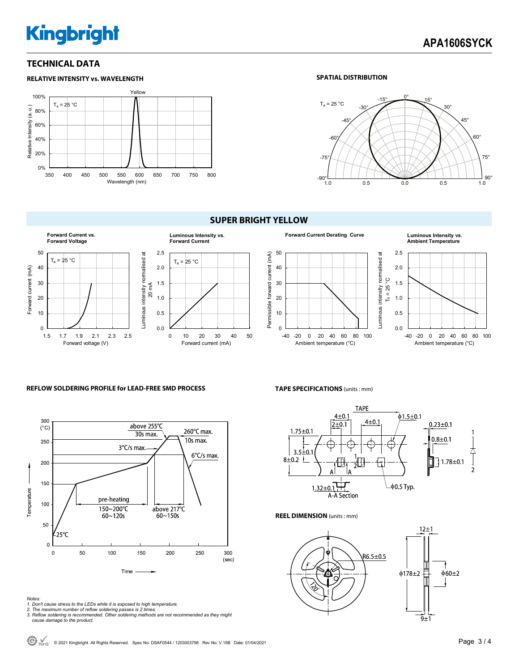# **Kingbright**

#### **TECHNICAL DATA**



#### **SPATIAL DISTRIBUTION**



#### **SUPER BRIGHT YELLOW**



#### **Forward Current Derating Curve Luminous Intensity vs.**  50 Permissible forward current (mA) Luminous intensity normalised at  $T_a = 25 °C$ Permissible forward current (mA) Luminous intensity normalised at 40 30 20 10 0 -40 -20 0 20 40 60 80 100 Ambient temperature (°C)

# **Ambient Temperature**



#### **REFLOW SOLDERING PROFILE for LEAD-FREE SMD PROCESS**



## **TAPE SPECIFICATIONS** (units : mm)



**REEL DIMENSION** (units : mm)



*Notes:* 

- *1. Don't cause stress to the LEDs while it is exposed to high temperature.*
- *2. The maximum number of reflow soldering passes is 2 times. 3. Reflow soldering is recommended. Other soldering methods are not recommended as they might*
- *cause damage to the product.*

© 2021 Kingbright. All Rights Reserved. Spec No: DSAF0544 / 1203003798 Rev No: V.15B Date: 01/04/2021Page 3 / 4